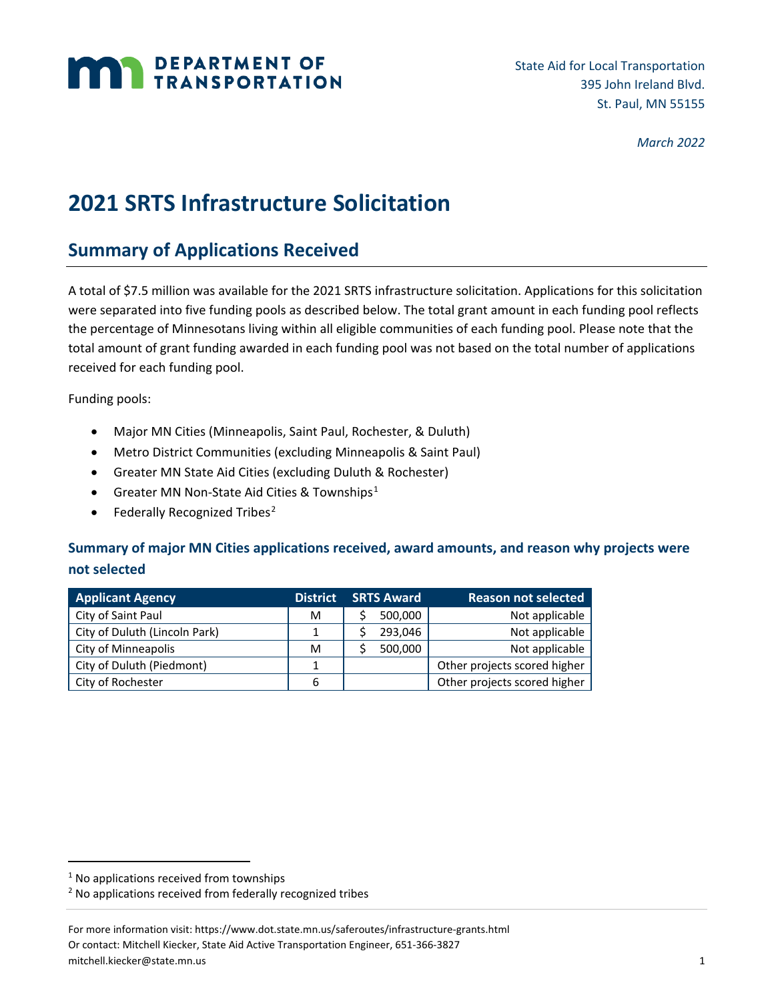# **MAN DEPARTMENT OF TRANSPORTATION**

State Aid for Local Transportation 395 John Ireland Blvd. St. Paul, MN 55155

*March 2022*

## **2021 SRTS Infrastructure Solicitation**

### **Summary of Applications Received**

A total of \$7.5 million was available for the 2021 SRTS infrastructure solicitation. Applications for this solicitation were separated into five funding pools as described below. The total grant amount in each funding pool reflects the percentage of Minnesotans living within all eligible communities of each funding pool. Please note that the total amount of grant funding awarded in each funding pool was not based on the total number of applications received for each funding pool.

Funding pools:

- Major MN Cities (Minneapolis, Saint Paul, Rochester, & Duluth)
- Metro District Communities (excluding Minneapolis & Saint Paul)
- Greater MN State Aid Cities (excluding Duluth & Rochester)
- Greater MN Non-State Aid Cities & Townships<sup>[1](#page-0-0)</sup>
- Federally Recognized Tribes<sup>[2](#page-0-1)</sup>

#### **Summary of major MN Cities applications received, award amounts, and reason why projects were not selected**

| <b>Applicant Agency</b>       | <b>District</b> | <b>SRTS Award</b> | <b>Reason not selected</b>   |
|-------------------------------|-----------------|-------------------|------------------------------|
| City of Saint Paul            | м               | 500,000           | Not applicable               |
| City of Duluth (Lincoln Park) |                 | 293,046           | Not applicable               |
| City of Minneapolis           | м               | 500,000           | Not applicable               |
| City of Duluth (Piedmont)     |                 |                   | Other projects scored higher |
| City of Rochester             | 6               |                   | Other projects scored higher |

<span id="page-0-0"></span> $1$  No applications received from townships

<span id="page-0-1"></span><sup>2</sup> No applications received from federally recognized tribes

For more information visit: https://www.dot.state.mn.us/saferoutes/infrastructure-grants.html Or contact: Mitchell Kiecker, State Aid Active Transportation Engineer, 651-366-3827 mitchell.kiecker@state.mn.us 1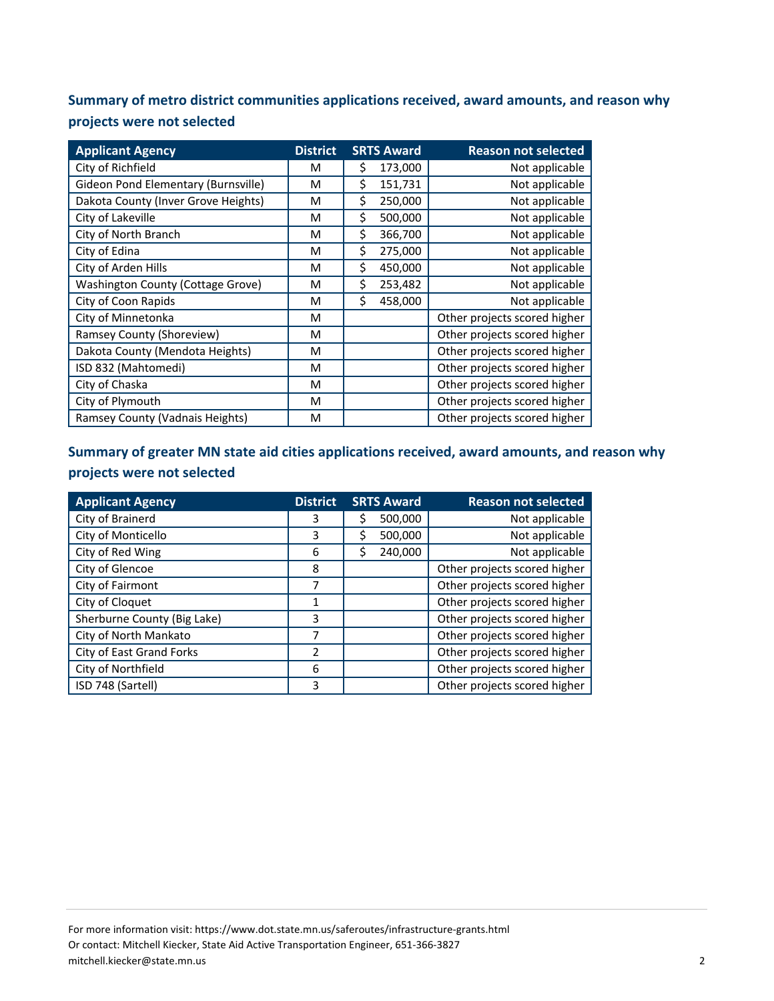**Summary of metro district communities applications received, award amounts, and reason why projects were not selected**

| <b>Applicant Agency</b>                  | <b>District</b> | <b>SRTS Award</b> | <b>Reason not selected</b>   |
|------------------------------------------|-----------------|-------------------|------------------------------|
| City of Richfield                        | М               | 173,000<br>\$     | Not applicable               |
| Gideon Pond Elementary (Burnsville)      | м               | Ś<br>151,731      | Not applicable               |
| Dakota County (Inver Grove Heights)      | М               | \$<br>250,000     | Not applicable               |
| City of Lakeville                        | м               | \$<br>500,000     | Not applicable               |
| City of North Branch                     | M               | \$<br>366,700     | Not applicable               |
| City of Edina                            | М               | \$<br>275,000     | Not applicable               |
| City of Arden Hills                      | М               | Ś<br>450,000      | Not applicable               |
| <b>Washington County (Cottage Grove)</b> | М               | \$<br>253,482     | Not applicable               |
| City of Coon Rapids                      | М               | \$<br>458,000     | Not applicable               |
| City of Minnetonka                       | M               |                   | Other projects scored higher |
| Ramsey County (Shoreview)                | М               |                   | Other projects scored higher |
| Dakota County (Mendota Heights)          | М               |                   | Other projects scored higher |
| ISD 832 (Mahtomedi)                      | М               |                   | Other projects scored higher |
| City of Chaska                           | М               |                   | Other projects scored higher |
| City of Plymouth                         | М               |                   | Other projects scored higher |
| Ramsey County (Vadnais Heights)          | М               |                   | Other projects scored higher |

#### **Summary of greater MN state aid cities applications received, award amounts, and reason why projects were not selected**

| <b>Applicant Agency</b>     | <b>District</b> | <b>SRTS Award</b> | <b>Reason not selected</b>   |
|-----------------------------|-----------------|-------------------|------------------------------|
| City of Brainerd            | 3               | 500,000<br>S      | Not applicable               |
| City of Monticello          | 3               | 500,000<br>\$     | Not applicable               |
| City of Red Wing            | 6               | 240,000<br>Ś      | Not applicable               |
| City of Glencoe             | 8               |                   | Other projects scored higher |
| City of Fairmont            | 7               |                   | Other projects scored higher |
| City of Cloquet             | 1               |                   | Other projects scored higher |
| Sherburne County (Big Lake) | 3               |                   | Other projects scored higher |
| City of North Mankato       | 7               |                   | Other projects scored higher |
| City of East Grand Forks    | $\mathfrak z$   |                   | Other projects scored higher |
| City of Northfield          | 6               |                   | Other projects scored higher |
| ISD 748 (Sartell)           | 3               |                   | Other projects scored higher |